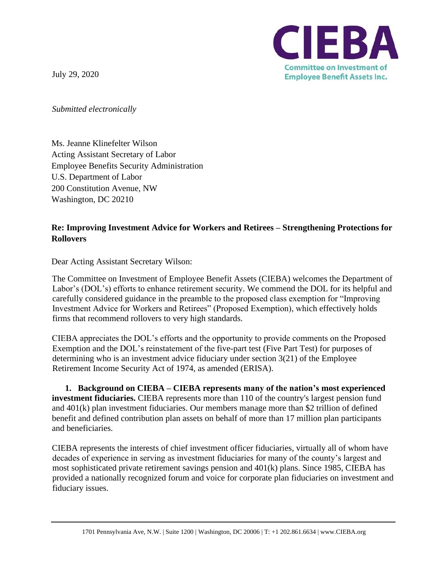July 29, 2020



*Submitted electronically*

Ms. Jeanne Klinefelter Wilson Acting Assistant Secretary of Labor Employee Benefits Security Administration U.S. Department of Labor 200 Constitution Avenue, NW Washington, DC 20210

## **Re: Improving Investment Advice for Workers and Retirees – Strengthening Protections for Rollovers**

Dear Acting Assistant Secretary Wilson:

The Committee on Investment of Employee Benefit Assets (CIEBA) welcomes the Department of Labor's (DOL's) efforts to enhance retirement security. We commend the DOL for its helpful and carefully considered guidance in the preamble to the proposed class exemption for "Improving Investment Advice for Workers and Retirees" (Proposed Exemption), which effectively holds firms that recommend rollovers to very high standards.

CIEBA appreciates the DOL's efforts and the opportunity to provide comments on the Proposed Exemption and the DOL's reinstatement of the five-part test (Five Part Test) for purposes of determining who is an investment advice fiduciary under section 3(21) of the Employee Retirement Income Security Act of 1974, as amended (ERISA).

**1. Background on CIEBA – CIEBA represents many of the nation's most experienced investment fiduciaries.** CIEBA represents more than 110 of the country's largest pension fund and 401(k) plan investment fiduciaries. Our members manage more than \$2 trillion of defined benefit and defined contribution plan assets on behalf of more than 17 million plan participants and beneficiaries.

CIEBA represents the interests of chief investment officer fiduciaries, virtually all of whom have decades of experience in serving as investment fiduciaries for many of the county's largest and most sophisticated private retirement savings pension and 401(k) plans. Since 1985, CIEBA has provided a nationally recognized forum and voice for corporate plan fiduciaries on investment and fiduciary issues.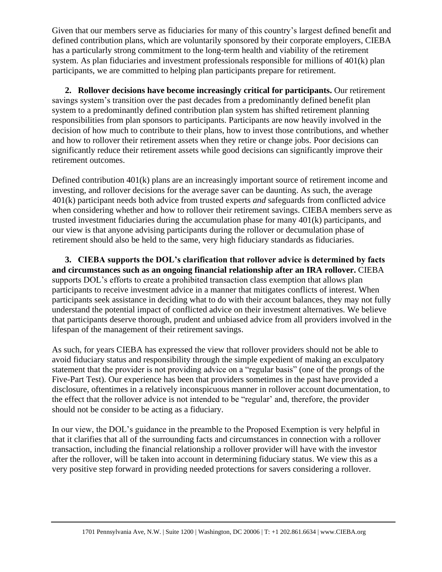Given that our members serve as fiduciaries for many of this country's largest defined benefit and defined contribution plans, which are voluntarily sponsored by their corporate employers, CIEBA has a particularly strong commitment to the long-term health and viability of the retirement system. As plan fiduciaries and investment professionals responsible for millions of 401(k) plan participants, we are committed to helping plan participants prepare for retirement.

**2. Rollover decisions have become increasingly critical for participants.** Our retirement savings system's transition over the past decades from a predominantly defined benefit plan system to a predominantly defined contribution plan system has shifted retirement planning responsibilities from plan sponsors to participants. Participants are now heavily involved in the decision of how much to contribute to their plans, how to invest those contributions, and whether and how to rollover their retirement assets when they retire or change jobs. Poor decisions can significantly reduce their retirement assets while good decisions can significantly improve their retirement outcomes.

Defined contribution 401(k) plans are an increasingly important source of retirement income and investing, and rollover decisions for the average saver can be daunting. As such, the average 401(k) participant needs both advice from trusted experts *and* safeguards from conflicted advice when considering whether and how to rollover their retirement savings. CIEBA members serve as trusted investment fiduciaries during the accumulation phase for many 401(k) participants, and our view is that anyone advising participants during the rollover or decumulation phase of retirement should also be held to the same, very high fiduciary standards as fiduciaries.

**3. CIEBA supports the DOL's clarification that rollover advice is determined by facts and circumstances such as an ongoing financial relationship after an IRA rollover.** CIEBA supports DOL's efforts to create a prohibited transaction class exemption that allows plan participants to receive investment advice in a manner that mitigates conflicts of interest. When participants seek assistance in deciding what to do with their account balances, they may not fully understand the potential impact of conflicted advice on their investment alternatives. We believe that participants deserve thorough, prudent and unbiased advice from all providers involved in the lifespan of the management of their retirement savings.

As such, for years CIEBA has expressed the view that rollover providers should not be able to avoid fiduciary status and responsibility through the simple expedient of making an exculpatory statement that the provider is not providing advice on a "regular basis" (one of the prongs of the Five-Part Test). Our experience has been that providers sometimes in the past have provided a disclosure, oftentimes in a relatively inconspicuous manner in rollover account documentation, to the effect that the rollover advice is not intended to be "regular' and, therefore, the provider should not be consider to be acting as a fiduciary.

In our view, the DOL's guidance in the preamble to the Proposed Exemption is very helpful in that it clarifies that all of the surrounding facts and circumstances in connection with a rollover transaction, including the financial relationship a rollover provider will have with the investor after the rollover, will be taken into account in determining fiduciary status. We view this as a very positive step forward in providing needed protections for savers considering a rollover.